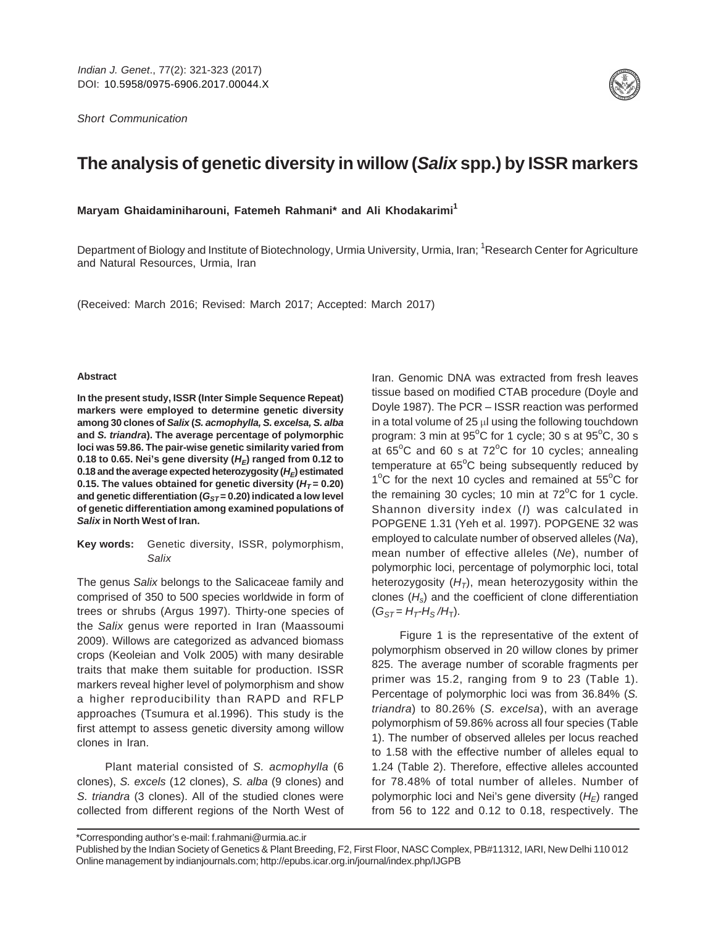Short Communication



# **The analysis of genetic diversity in willow (Salix spp.) by ISSR markers**

**Maryam Ghaidaminiharouni, Fatemeh Rahmani\* and Ali Khodakarimi<sup>1</sup>**

Department of Biology and Institute of Biotechnology, Urmia University, Urmia, Iran; <sup>1</sup>Research Center for Agriculture and Natural Resources, Urmia, Iran

(Received: March 2016; Revised: March 2017; Accepted: March 2017)

#### **Abstract**

**In the present study, ISSR (Inter Simple Sequence Repeat) markers were employed to determine genetic diversity among 30 clones of Salix (S. acmophylla, S. excelsa, S. alba and S. triandra). The average percentage of polymorphic loci was 59.86. The pair-wise genetic similarity varied from** 0.18 to 0.65. Nei's gene diversity  $(H_F)$  ranged from 0.12 to 0.18 and the average expected heterozygosity  $(H_F)$  estimated **0.15. The values obtained for genetic diversity (** $H_T = 0.20$ **)** and genetic differentiation ( $G_{ST}$  = 0.20) indicated a low level **of genetic differentiation among examined populations of Salix in North West of Iran.**

**Key words:** Genetic diversity, ISSR, polymorphism, Salix

The genus Salix belongs to the Salicaceae family and comprised of 350 to 500 species worldwide in form of trees or shrubs (Argus 1997). Thirty-one species of the Salix genus were reported in Iran (Maassoumi 2009). Willows are categorized as advanced biomass crops (Keoleian and Volk 2005) with many desirable traits that make them suitable for production. ISSR markers reveal higher level of polymorphism and show a higher reproducibility than RAPD and RFLP approaches (Tsumura et al.1996). This study is the first attempt to assess genetic diversity among willow clones in Iran.

Plant material consisted of S. acmophylla (6 clones), S. excels (12 clones), S. alba (9 clones) and S. triandra (3 clones). All of the studied clones were collected from different regions of the North West of

Iran. Genomic DNA was extracted from fresh leaves tissue based on modified CTAB procedure (Doyle and Doyle 1987). The PCR – ISSR reaction was performed in a total volume of  $25 \mu l$  using the following touchdown program: 3 min at  $95^{\circ}$ C for 1 cycle; 30 s at  $95^{\circ}$ C, 30 s at  $65^{\circ}$ C and 60 s at  $72^{\circ}$ C for 10 cycles; annealing temperature at  $65^{\circ}$ C being subsequently reduced by 1°C for the next 10 cycles and remained at 55°C for the remaining 30 cycles; 10 min at  $72^{\circ}$ C for 1 cycle. Shannon diversity index (I) was calculated in POPGENE 1.31 (Yeh et al. 1997). POPGENE 32 was employed to calculate number of observed alleles (Na), mean number of effective alleles (Ne), number of polymorphic loci, percentage of polymorphic loci, total heterozygosity  $(H_T)$ , mean heterozygosity within the clones  $(H<sub>s</sub>)$  and the coefficient of clone differentiation  $(G_{ST} = H_T - H_S / H_T)$ .

Figure 1 is the representative of the extent of polymorphism observed in 20 willow clones by primer 825. The average number of scorable fragments per primer was 15.2, ranging from 9 to 23 (Table 1). Percentage of polymorphic loci was from 36.84% (S. triandra) to 80.26% (S. excelsa), with an average polymorphism of 59.86% across all four species (Table 1). The number of observed alleles per locus reached to 1.58 with the effective number of alleles equal to 1.24 (Table 2). Therefore, effective alleles accounted for 78.48% of total number of alleles. Number of polymorphic loci and Nei's gene diversity  $(H_F)$  ranged from 56 to 122 and 0.12 to 0.18, respectively. The

\*Corresponding author's e-mail: f.rahmani@urmia.ac.ir

Published by the Indian Society of Genetics & Plant Breeding, F2, First Floor, NASC Complex, PB#11312, IARI, New Delhi 110 012 Online management by indianjournals.com; http://epubs.icar.org.in/journal/index.php/IJGPB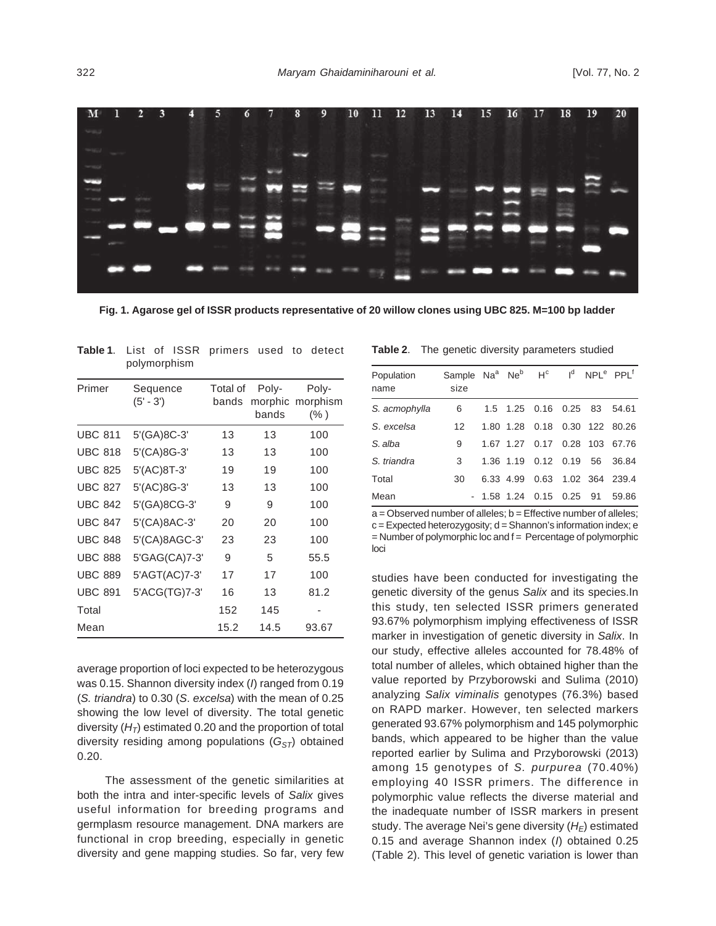

**Fig. 1. Agarose gel of ISSR products representative of 20 willow clones using UBC 825. M=100 bp ladder**

| polymorphism   |                         |                   |                           |                              |  |
|----------------|-------------------------|-------------------|---------------------------|------------------------------|--|
| Primer         | Sequence<br>$(5' - 3')$ | Total of<br>bands | Poly-<br>morphic<br>bands | Poly-<br>morphism<br>$(\% )$ |  |
| <b>UBC 811</b> | 5'(GA)8C-3'             | 13                | 13                        | 100                          |  |
| <b>UBC 818</b> | 5'(CA)8G-3'             | 13                | 13                        | 100                          |  |
| <b>UBC 825</b> | 5'(AC)8T-3'             | 19                | 19                        | 100                          |  |
| <b>UBC 827</b> | 5'(AC)8G-3'             | 13                | 13                        | 100                          |  |
| <b>UBC 842</b> | 5'(GA)8CG-3'            | 9                 | 9                         | 100                          |  |
| <b>UBC 847</b> | 5'(CA)8AC-3'            | 20                | 20                        | 100                          |  |
| <b>UBC 848</b> | 5'(CA)8AGC-3'           | 23                | 23                        | 100                          |  |
| <b>UBC 888</b> | 5'GAG(CA)7-3'           | 9                 | 5                         | 55.5                         |  |
| <b>UBC 889</b> | 5'AGT(AC)7-3'           | 17                | 17                        | 100                          |  |
| <b>UBC 891</b> | 5'ACG(TG)7-3'           | 16                | 13                        | 81.2                         |  |
| Total          |                         | 152               | 145                       |                              |  |
| Mean           |                         | 15.2              | 14.5                      | 93.67                        |  |

**Table 1**. List of ISSR primers used to detect

average proportion of loci expected to be heterozygous was 0.15. Shannon diversity index (I) ranged from 0.19 (S. triandra) to 0.30 (S. excelsa) with the mean of 0.25 showing the low level of diversity. The total genetic diversity  $(H_T)$  estimated 0.20 and the proportion of total diversity residing among populations  $(G_{ST})$  obtained 0.20.

The assessment of the genetic similarities at both the intra and inter-specific levels of Salix gives useful information for breeding programs and germplasm resource management. DNA markers are functional in crop breeding, especially in genetic diversity and gene mapping studies. So far, very few

|  | Table 2. |  |  |  | The genetic diversity parameters studied |  |
|--|----------|--|--|--|------------------------------------------|--|
|--|----------|--|--|--|------------------------------------------|--|

| Population<br>name | Sample Na <sup>a</sup> Ne <sup>b</sup> H <sup>c</sup><br>size |           |                               | $Id$ NPL <sup>e</sup> PPL <sup>f</sup> |                |
|--------------------|---------------------------------------------------------------|-----------|-------------------------------|----------------------------------------|----------------|
| S. acmophylla      | 6                                                             |           | 1.5 1.25 0.16 0.25 83 54.61   |                                        |                |
| S. excelsa         | 12                                                            | 1.80 1.28 | 0.18                          |                                        | 0.30 122 80.26 |
| S. alba            | 9                                                             |           | 1.67 1.27 0.17 0.28 103 67.76 |                                        |                |
| S. triandra        | 3                                                             |           | 1.36 1.19 0.12 0.19           |                                        | 56 36.84       |
| Total              | 30                                                            | 6.33 4.99 | 0.63                          |                                        | 1.02 364 239.4 |
| Mean               |                                                               |           | $-1.58$ 1.24 0.15 0.25 91     |                                        | 59.86          |

 $a = 0$ bserved number of alleles;  $b = 0$  Effective number of alleles; c = Expected heterozygosity; d = Shannon's information index; e  $=$  Number of polymorphic loc and  $f =$  Percentage of polymorphic loci

studies have been conducted for investigating the genetic diversity of the genus Salix and its species.In this study, ten selected ISSR primers generated 93.67% polymorphism implying effectiveness of ISSR marker in investigation of genetic diversity in Salix. In our study, effective alleles accounted for 78.48% of total number of alleles, which obtained higher than the value reported by Przyborowski and Sulima (2010) analyzing Salix viminalis genotypes (76.3%) based on RAPD marker. However, ten selected markers generated 93.67% polymorphism and 145 polymorphic bands, which appeared to be higher than the value reported earlier by Sulima and Przyborowski (2013) among 15 genotypes of S. purpurea (70.40%) employing 40 ISSR primers. The difference in polymorphic value reflects the diverse material and the inadequate number of ISSR markers in present study. The average Nei's gene diversity  $(H_F)$  estimated 0.15 and average Shannon index  $(1)$  obtained 0.25 (Table 2). This level of genetic variation is lower than